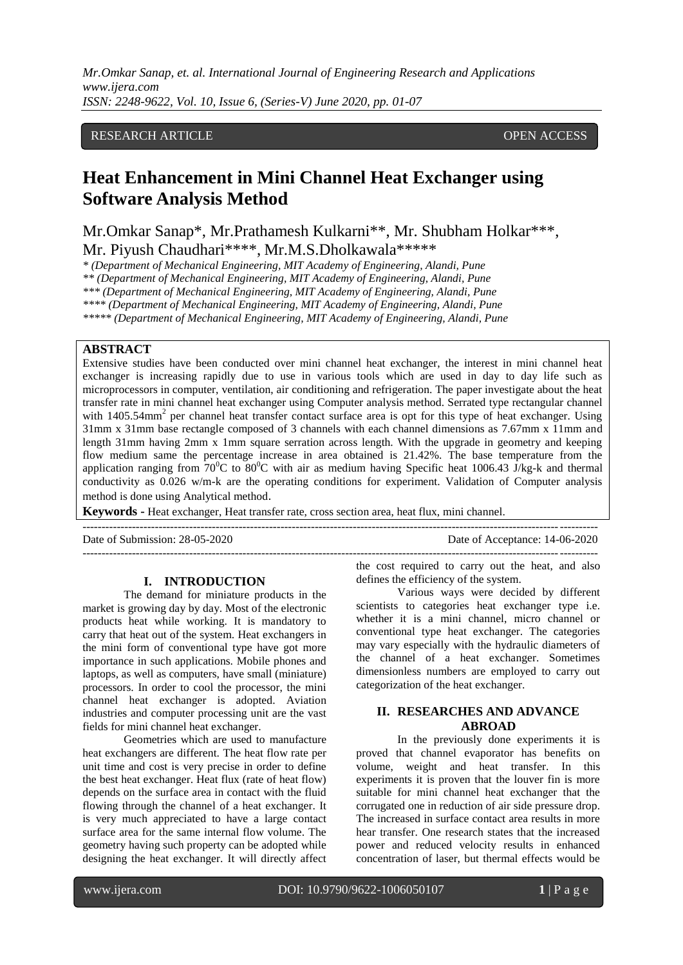# RESEARCH ARTICLE **CONSERVERS** OPEN ACCESS

# **Heat Enhancement in Mini Channel Heat Exchanger using Software Analysis Method**

Mr.Omkar Sanap\*, Mr.Prathamesh Kulkarni\*\*, Mr. Shubham Holkar\*\*\*, Mr. Piyush Chaudhari\*\*\*\*, Mr.M.S.Dholkawala\*\*\*\*\*

*\* (Department of Mechanical Engineering, MIT Academy of Engineering, Alandi, Pune*

*\*\* (Department of Mechanical Engineering, MIT Academy of Engineering, Alandi, Pune*

*\*\*\* (Department of Mechanical Engineering, MIT Academy of Engineering, Alandi, Pune*

*\*\*\*\* (Department of Mechanical Engineering, MIT Academy of Engineering, Alandi, Pune*

*\*\*\*\*\* (Department of Mechanical Engineering, MIT Academy of Engineering, Alandi, Pune*

## **ABSTRACT**

Extensive studies have been conducted over mini channel heat exchanger, the interest in mini channel heat exchanger is increasing rapidly due to use in various tools which are used in day to day life such as microprocessors in computer, ventilation, air conditioning and refrigeration. The paper investigate about the heat transfer rate in mini channel heat exchanger using Computer analysis method. Serrated type rectangular channel with 1405.54mm<sup>2</sup> per channel heat transfer contact surface area is opt for this type of heat exchanger. Using 31mm x 31mm base rectangle composed of 3 channels with each channel dimensions as 7.67mm x 11mm and length 31mm having 2mm x 1mm square serration across length. With the upgrade in geometry and keeping flow medium same the percentage increase in area obtained is 21.42%. The base temperature from the application ranging from  $70^0C$  to  $80^0C$  with air as medium having Specific heat 1006.43 J/kg-k and thermal conductivity as 0.026 w/m-k are the operating conditions for experiment. Validation of Computer analysis method is done using Analytical method.

**Keywords -** Heat exchanger, Heat transfer rate, cross section area, heat flux, mini channel.

--------------------------------------------------------------------------------------------------------------------------------------- Date of Submission: 28-05-2020 Date of Acceptance: 14-06-2020

---------------------------------------------------------------------------------------------------------------------------------------

### **I. INTRODUCTION**

The demand for miniature products in the market is growing day by day. Most of the electronic products heat while working. It is mandatory to carry that heat out of the system. Heat exchangers in the mini form of conventional type have got more importance in such applications. Mobile phones and laptops, as well as computers, have small (miniature) processors. In order to cool the processor, the mini channel heat exchanger is adopted. Aviation industries and computer processing unit are the vast fields for mini channel heat exchanger.

Geometries which are used to manufacture heat exchangers are different. The heat flow rate per unit time and cost is very precise in order to define the best heat exchanger. Heat flux (rate of heat flow) depends on the surface area in contact with the fluid flowing through the channel of a heat exchanger. It is very much appreciated to have a large contact surface area for the same internal flow volume. The geometry having such property can be adopted while designing the heat exchanger. It will directly affect the cost required to carry out the heat, and also defines the efficiency of the system.

Various ways were decided by different scientists to categories heat exchanger type i.e. whether it is a mini channel, micro channel or conventional type heat exchanger. The categories may vary especially with the hydraulic diameters of the channel of a heat exchanger. Sometimes dimensionless numbers are employed to carry out categorization of the heat exchanger.

# **II. RESEARCHES AND ADVANCE ABROAD**

In the previously done experiments it is proved that channel evaporator has benefits on volume, weight and heat transfer. In this experiments it is proven that the louver fin is more suitable for mini channel heat exchanger that the corrugated one in reduction of air side pressure drop. The increased in surface contact area results in more hear transfer. One research states that the increased power and reduced velocity results in enhanced concentration of laser, but thermal effects would be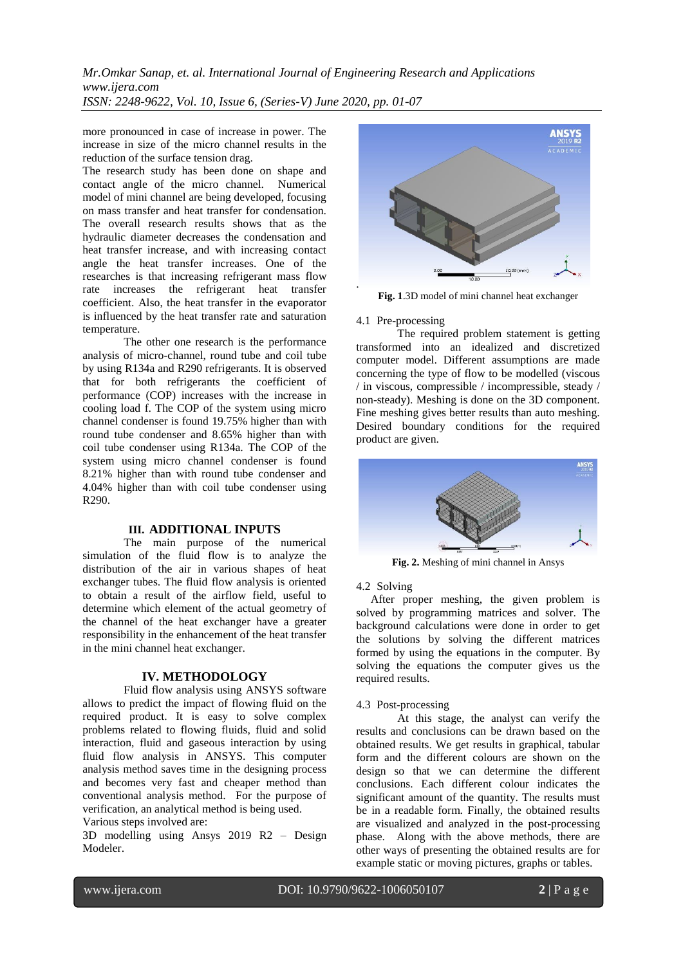more pronounced in case of increase in power. The increase in size of the micro channel results in the reduction of the surface tension drag.

The research study has been done on shape and contact angle of the micro channel. Numerical model of mini channel are being developed, focusing on mass transfer and heat transfer for condensation. The overall research results shows that as the hydraulic diameter decreases the condensation and heat transfer increase, and with increasing contact angle the heat transfer increases. One of the researches is that increasing refrigerant mass flow rate increases the refrigerant heat transfer coefficient. Also, the heat transfer in the evaporator is influenced by the heat transfer rate and saturation temperature.

The other one research is the performance analysis of micro-channel, round tube and coil tube by using R134a and R290 refrigerants. It is observed that for both refrigerants the coefficient of performance (COP) increases with the increase in cooling load f. The COP of the system using micro channel condenser is found 19.75% higher than with round tube condenser and 8.65% higher than with coil tube condenser using R134a. The COP of the system using micro channel condenser is found 8.21% higher than with round tube condenser and 4.04% higher than with coil tube condenser using R290.

### **III. ADDITIONAL INPUTS**

The main purpose of the numerical simulation of the fluid flow is to analyze the distribution of the air in various shapes of heat exchanger tubes. The fluid flow analysis is oriented to obtain a result of the airflow field, useful to determine which element of the actual geometry of the channel of the heat exchanger have a greater responsibility in the enhancement of the heat transfer in the mini channel heat exchanger.

#### **IV. METHODOLOGY**

Fluid flow analysis using ANSYS software allows to predict the impact of flowing fluid on the required product. It is easy to solve complex problems related to flowing fluids, fluid and solid interaction, fluid and gaseous interaction by using fluid flow analysis in ANSYS. This computer analysis method saves time in the designing process and becomes very fast and cheaper method than conventional analysis method. For the purpose of verification, an analytical method is being used. Various steps involved are:

3D modelling using Ansys 2019 R2 – Design Modeler.



**Fig. 1**.3D model of mini channel heat exchanger

#### 4.1 Pre-processing

The required problem statement is getting transformed into an idealized and discretized computer model. Different assumptions are made concerning the type of flow to be modelled (viscous / in viscous, compressible / incompressible, steady / non-steady). Meshing is done on the 3D component. Fine meshing gives better results than auto meshing. Desired boundary conditions for the required product are given.



**Fig. 2.** Meshing of mini channel in Ansys

4.2 Solving

 After proper meshing, the given problem is solved by programming matrices and solver. The background calculations were done in order to get the solutions by solving the different matrices formed by using the equations in the computer. By solving the equations the computer gives us the required results.

4.3 Post-processing

 At this stage, the analyst can verify the results and conclusions can be drawn based on the obtained results. We get results in graphical, tabular form and the different colours are shown on the design so that we can determine the different conclusions. Each different colour indicates the significant amount of the quantity. The results must be in a readable form. Finally, the obtained results are visualized and analyzed in the post-processing phase. Along with the above methods, there are other ways of presenting the obtained results are for example static or moving pictures, graphs or tables.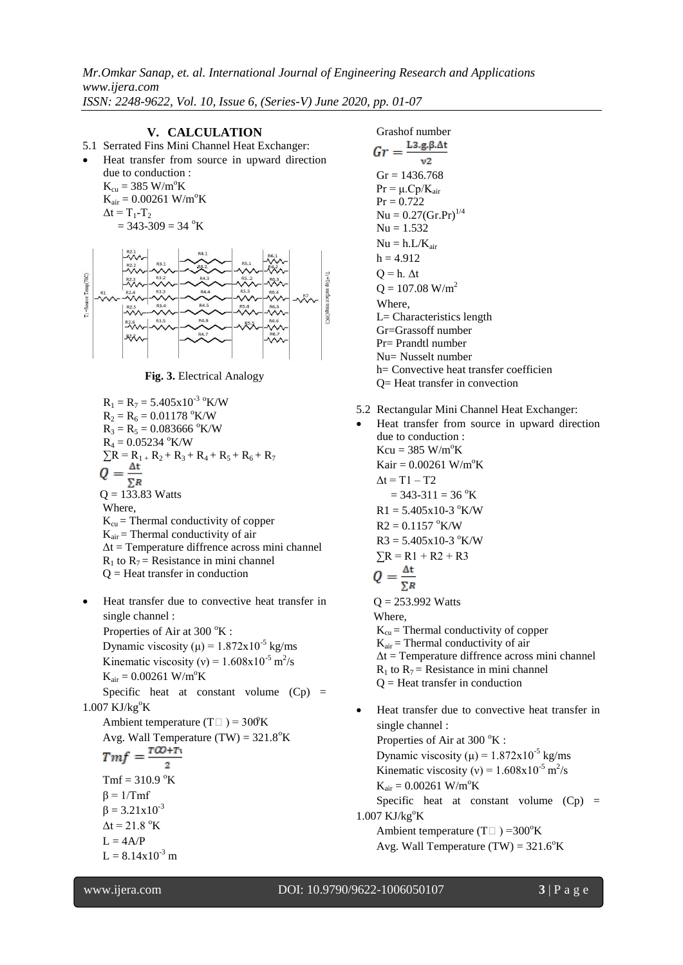*Mr.Omkar Sanap, et. al. International Journal of Engineering Research and Applications www.ijera.com*

*ISSN: 2248-9622, Vol. 10, Issue 6, (Series-V) June 2020, pp. 01-07*

**V. CALCULATION** 5.1 Serrated Fins Mini Channel Heat Exchanger: Heat transfer from source in upward direction due to conduction :  $K_{\rm cu} = 385 \text{ W/m}^{\circ}\text{K}$  $K_{air} = 0.00261 \text{ W/m}^{\circ}\text{K}$  $\Delta t = T_1 - T_2$  $= 343 - 309 = 34$  °K 1=Source Temp(70C)  $\overset{\text{R2.3}}{\mathcal{N}}$ **R2.5**  $\overset{\text{RS}}{\vee}$  $-6$  $R\lambda$ 

**Fig. 3.** Electrical Analogy

$$
R_1 = R_7 = 5.405 \times 10^{-3} \, \mathrm{°K/W}
$$
  
\n
$$
R_2 = R_6 = 0.01178 \, \mathrm{°K/W}
$$
  
\n
$$
R_3 = R_5 = 0.083666 \, \mathrm{°K/W}
$$
  
\n
$$
R_4 = 0.05234 \, \mathrm{°K/W}
$$
  
\n
$$
\Sigma R = R_{1+} R_2 + R_3 + R_4 + R_5 + R_6 + R_7
$$
  
\n
$$
Q = \frac{\Delta t}{\Sigma R}
$$
  
\n
$$
Q = 133.83
$$
Watts  
\nWhere,  
\n
$$
K_{cu} = \text{Thermal conductivity of copper}
$$
  
\n
$$
K_{air} = \text{Thermal conductivity of air}
$$
  
\n
$$
\Delta t = \text{Temperature difference across mini channel}
$$
  
\n
$$
R_1 \text{ to } R_7 = \text{ Resistance in mini channel}
$$
  
\n
$$
Q = \text{Heat transfer in conduction}
$$

 Heat transfer due to convective heat transfer in single channel : Properties of Air at  $300 \degree K$  : Dynamic viscosity ( $\mu$ ) = 1.872x10<sup>-5</sup> kg/ms Kinematic viscosity (v) =  $1.608 \times 10^{-5}$  m<sup>2</sup>/s  $K_{air} = 0.00261 W/m^oK$ Specific heat at constant volume  $(Cp)$  =  $1.007$  KJ/kg $\mathrm{^oK}$ Ambient temperature (T $\Box$ ) = 300°K Avg. Wall Temperature (TW) = 321.8°K<br>  $Tmf = \frac{T\omega + T_1}{r^2}$  $Tmf = 310.9 °K$  $β = 1/Tm f$  $β = 3.21x10<sup>-3</sup>$  $\Delta t = 21.8$  °K  $L = 4A/P$  $L = 8.14x10^{-3}$  m

Grashof number<br> $Gr = \frac{L3.g.B.\Delta t}{2}$  $v<sub>2</sub>$  $Gr = 1436.768$  $Pr = \mu$ . $Cp/K_{air}$  $Pr = 0.722$  $Nu = 0.27(Gr.Pr)^{1/4}$  $Nu = 1.532$  $Nu = h.L/K_{air}$  $h = 4.912$  $Q = h$ .  $\Delta t$  $Q = 107.08$  W/m<sup>2</sup> Where, L= Characteristics length Gr=Grassoff number Pr= Prandtl number Nu= Nusselt number h= Convective heat transfer coefficien Q= Heat transfer in convection

- 5.2 Rectangular Mini Channel Heat Exchanger:
- Heat transfer from source in upward direction due to conduction :  $Kcu = 385$  W/m<sup>o</sup>K  $Kair = 0.00261 W/m^oK$  $\Delta t = T1 - T2$  $= 343 - 311 = 36$  °K  $R1 = 5.405x10-3$  °K/W  $R2 = 0.1157$  °K/W  $R3 = 5.405 \times 10^{-3}$  °K/W  $\Sigma R = R1 + R2 + R3$  $\overline{\Sigma_R}$  $Q = 253.992$  Watts Where,  $K_{cu}$  = Thermal conductivity of copper  $K_{air}$  = Thermal conductivity of air  $\Delta t$  = Temperature diffrence across mini channel  $R_1$  to  $R_7$  = Resistance in mini channel  $Q =$  Heat transfer in conduction Heat transfer due to convective heat transfer in

single channel : Properties of Air at  $300\text{ °K}$ : Dynamic viscosity ( $\mu$ ) = 1.872x10<sup>-5</sup> kg/ms Kinematic viscosity (v) =  $1.608 \times 10^{-5}$  m<sup>2</sup>/s  $K_{air} = 0.00261 W/m^oK$ Specific heat at constant volume  $(Cp)$  =  $1.007$  KJ/kg $\mathrm{^oK}$ Ambient temperature (T $\Box$ ) = 300°K Avg. Wall Temperature (TW) =  $321.6^{\circ}$ K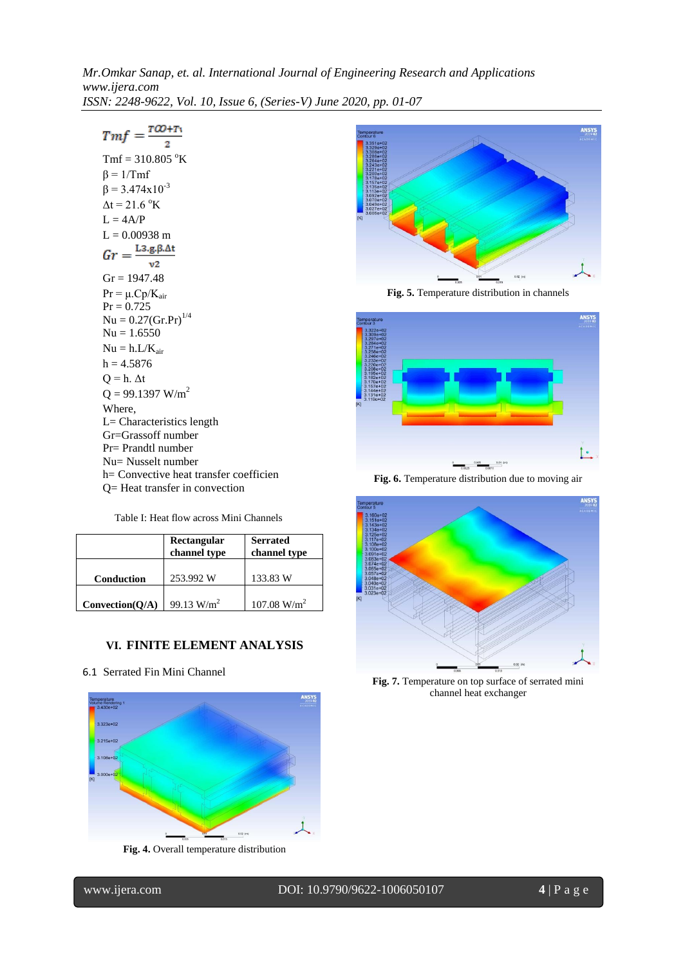$Tmf = \frac{T\omega + T_1}{2}$  $Tmf = 310.805 °K$  $β = 1/Tmf$  $β = 3.474x10<sup>-3</sup>$  $\Delta t = 21.6 \text{ }^{\circ}K$  $L = 4A/P$  $L = 0.00938$  m  $Gr = \frac{\text{L3.g.}\beta\Delta t}{\sqrt{\pi}}$  $v2$  $Gr = 1947.48$  $Pr = \mu$ . $Cp/K_{air}$  $Pr = 0.725$  $Nu = 0.27(Gr.Pr)^{1/4}$  $Nu = 1.6550$  $Nu = h.L/K_{air}$  $h = 4.5876$  $Q = h$ .  $\Delta t$  $Q = 99.1397$  W/m<sup>2</sup> Where, L= Characteristics length Gr=Grassoff number Pr= Prandtl number Nu= Nusselt number h= Convective heat transfer coefficien Q= Heat transfer in convection

Table I: Heat flow across Mini Channels

|                 | Rectangular<br>channel type | <b>Serrated</b><br>channel type |
|-----------------|-----------------------------|---------------------------------|
| Conduction      | 253.992 W                   | 133.83 W                        |
| Convection(Q/A) | 99.13 $W/m^2$               | $107.08$ W/m <sup>2</sup>       |

## **VI. FINITE ELEMENT ANALYSIS**

6.1 Serrated Fin Mini Channel



**Fig. 4.** Overall temperature distribution



**Fig. 5.** Temperature distribution in channels



**Fig. 6.** Temperature distribution due to moving air



**Fig. 7.** Temperature on top surface of serrated mini channel heat exchanger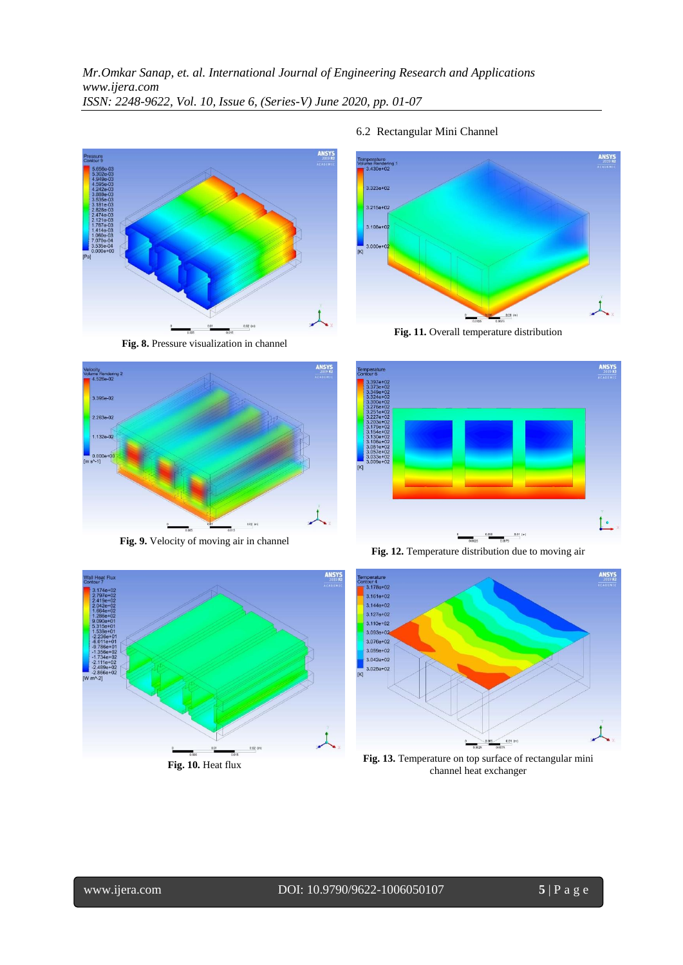

**Fig. 8.** Pressure visualization in channel



**Fig. 9.** Velocity of moving air in channel



**Fig. 10.** Heat flux

### 6.2 Rectangular Mini Channel



**Fig. 11.** Overall temperature distribution



**Fig. 12.** Temperature distribution due to moving air



**Fig. 13.** Temperature on top surface of rectangular mini channel heat exchanger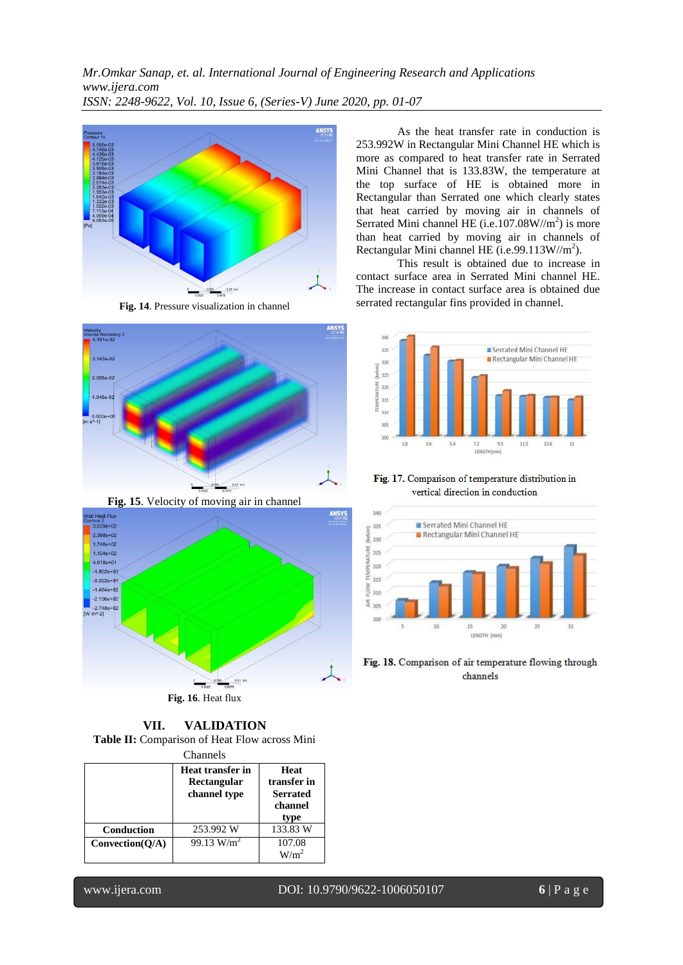

**Fig. 14**. Pressure visualization in channel



**Fig. 15**. Velocity of moving air in channel



**Fig. 16**. Heat flux

**VII. VALIDATION Table II:** Comparison of Heat Flow across Mini

| Channels        |                                                 |                                                           |  |  |
|-----------------|-------------------------------------------------|-----------------------------------------------------------|--|--|
|                 | Heat transfer in<br>Rectangular<br>channel type | Heat<br>transfer in<br><b>Serrated</b><br>channel<br>type |  |  |
| Conduction      | 253.992 W                                       | 133.83 W                                                  |  |  |
| Convection(O/A) | 99.13 $W/m^2$                                   | 107.08                                                    |  |  |

As the heat transfer rate in conduction is 253.992W in Rectangular Mini Channel HE which is more as compared to heat transfer rate in Serrated Mini Channel that is 133.83W, the temperature at the top surface of HE is obtained more in Rectangular than Serrated one which clearly states that heat carried by moving air in channels of Serrated Mini channel HE (i.e.107.08 $W/m<sup>2</sup>$ ) is more than heat carried by moving air in channels of Rectangular Mini channel HE (i.e.99.113W//m<sup>2</sup>).

This result is obtained due to increase in contact surface area in Serrated Mini channel HE. The increase in contact surface area is obtained due serrated rectangular fins provided in channel.



Fig. 17. Comparison of temperature distribution in vertical direction in conduction



Fig. 18. Comparison of air temperature flowing through channels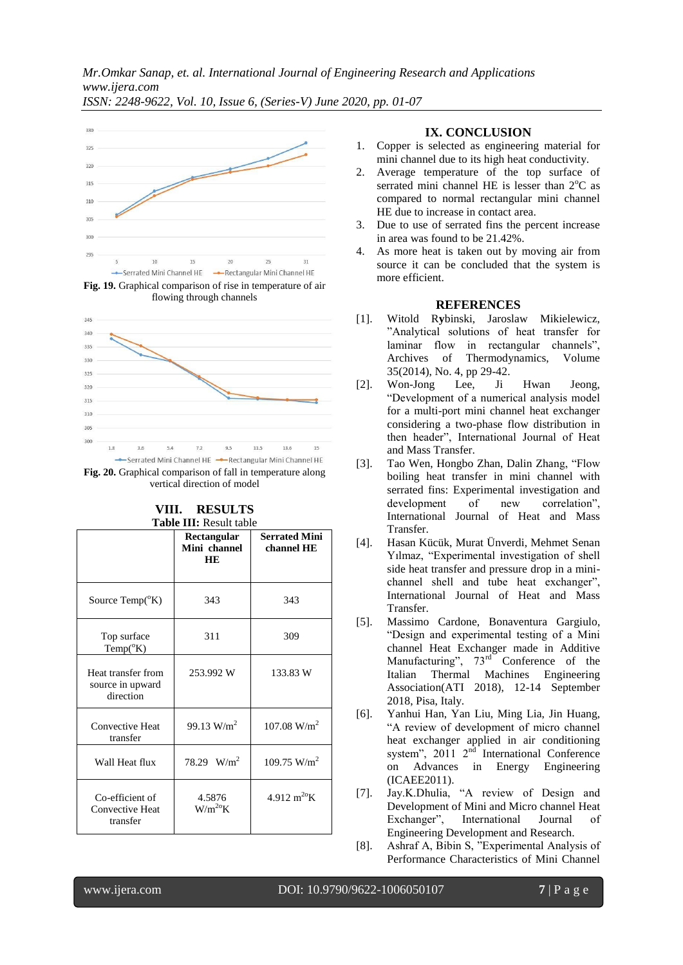*ISSN: 2248-9622, Vol. 10, Issue 6, (Series-V) June 2020, pp. 01-07*



flowing through channels



**Fig. 20.** Graphical comparison of fall in temperature along vertical direction of model

|                                                       | Rectangular<br>Mini channel<br><b>HE</b> | <b>Serrated Mini</b><br>channel HE |
|-------------------------------------------------------|------------------------------------------|------------------------------------|
| Source Temp( <sup>o</sup> K)                          | 343                                      | 343                                |
| Top surface<br>$Temp(^oK)$                            | 311                                      | 309                                |
| Heat transfer from<br>source in upward<br>direction   | 253.992 W                                | 133.83 W                           |
| <b>Convective Heat</b><br>transfer                    | 99.13 $W/m^2$                            | $107.08$ W/m <sup>2</sup>          |
| Wall Heat flux                                        | 78.29 $W/m^2$                            | 109.75 $W/m2$                      |
| Co-efficient of<br><b>Convective Heat</b><br>transfer | 4.5876<br>$W/m^{20}K$                    | 4.912 $m^{20}K$                    |

# **VIII. RESULTS Table III:** Result table

# **IX. CONCLUSION**

- 1. Copper is selected as engineering material for mini channel due to its high heat conductivity.
- 2. Average temperature of the top surface of serrated mini channel HE is lesser than  $2^{\circ}$ C as compared to normal rectangular mini channel HE due to increase in contact area.
- 3. Due to use of serrated fins the percent increase in area was found to be 21.42%.
- 4. As more heat is taken out by moving air from source it can be concluded that the system is more efficient.

# **REFERENCES**

- [1]. Witold R**y**binski, Jaroslaw Mikielewicz, "Analytical solutions of heat transfer for laminar flow in rectangular channels", Archives of Thermodynamics, Volume 35(2014), No. 4, pp 29-42.
- [2]. Won-Jong Lee, Ji Hwan Jeong, "Development of a numerical analysis model for a multi-port mini channel heat exchanger considering a two-phase flow distribution in then header", International Journal of Heat and Mass Transfer.
- [3]. Tao Wen, Hongbo Zhan, Dalin Zhang, "Flow boiling heat transfer in mini channel with serrated fins: Experimental investigation and development of new correlation", International Journal of Heat and Mass Transfer.
- [4]. Hasan Kücük, Murat Ünverdi, Mehmet Senan Yılmaz, "Experimental investigation of shell side heat transfer and pressure drop in a minichannel shell and tube heat exchanger", International Journal of Heat and Mass Transfer.
- [5]. Massimo Cardone, Bonaventura Gargiulo, "Design and experimental testing of a Mini channel Heat Exchanger made in Additive Manufacturing",  $73<sup>rd</sup>$  Conference of the Italian Thermal Machines Engineering Association(ATI 2018), 12-14 September 2018, Pisa, Italy.
- [6]. Yanhui Han, Yan Liu, Ming Lia, Jin Huang, "A review of development of micro channel heat exchanger applied in air conditioning system", 2011  $2<sup>nd</sup>$  International Conference on Advances in Energy Engineering (ICAEE2011).
- [7]. Jay.K.Dhulia, "A review of Design and Development of Mini and Micro channel Heat Exchanger", International Journal of Engineering Development and Research.
- [8]. Ashraf A, Bibin S, "Experimental Analysis of Performance Characteristics of Mini Channel